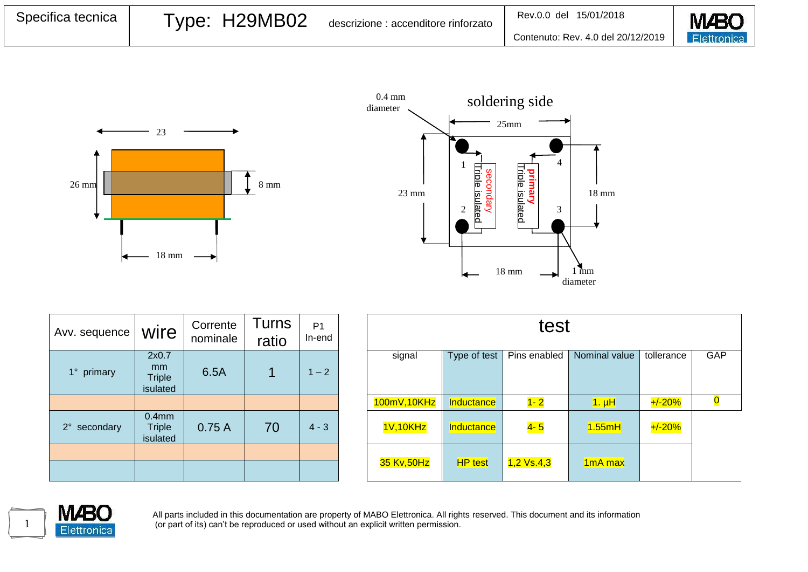| Specifica tecnica | Type: H29MB02 | descrizione : accenditore rinforzato | 15/01/2018<br>Rev.0.0 del          | <b>M</b> BO |
|-------------------|---------------|--------------------------------------|------------------------------------|-------------|
|                   |               |                                      | Contenuto: Rev. 4.0 del 20/12/2019 | Elettronica |





| Avv. sequence          | wire                                           | Corrente<br>nominale | <b>Turns</b><br>ratio | P <sub>1</sub><br>In-end |
|------------------------|------------------------------------------------|----------------------|-----------------------|--------------------------|
| $1^{\circ}$<br>primary | 2x0.7<br>mm<br><b>Triple</b><br>isulated       | 6.5A                 |                       | $1 - 2$                  |
|                        |                                                |                      |                       |                          |
| 2° secondary           | 0.4 <sub>mm</sub><br><b>Triple</b><br>isulated | 0.75A                | 70                    | $4 - 3$                  |
|                        |                                                |                      |                       |                          |
|                        |                                                |                      |                       |                          |

| corrente<br>ominale | Turns<br>ratio | P <sub>1</sub><br>In-end | test        |                |              |                     |            |     |
|---------------------|----------------|--------------------------|-------------|----------------|--------------|---------------------|------------|-----|
| 6.5A                | 1              | $1 - 2$                  | signal      | Type of test   | Pins enabled | Nominal value       | tollerance | GAP |
|                     |                |                          | 100mV,10KHz | Inductance     | $1 - 2$      | $1. \muH$           | $+/-20%$   |     |
| 0.75A               | 70             | $4 - 3$                  | 1V,10KHz    | Inductance     | $4 - 5$      | 1.55mH              | $+/-20%$   |     |
|                     |                |                          | 35 Kv, 50Hz | <b>HP</b> test | $1,2$ Vs.4,3 | 1 <sub>mA</sub> max |            |     |



All parts included in this documentation are property of MABO Elettronica. All rights reserved. This document and its information (or part of its) can't be reproduced or used without an explicit written permission.